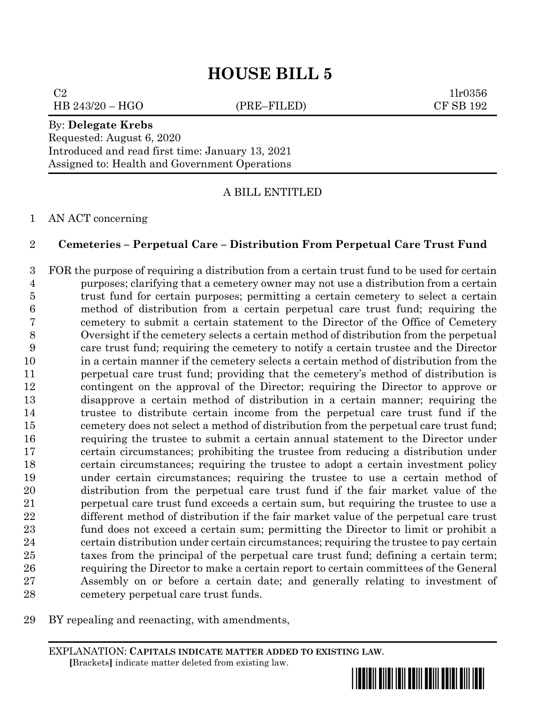# **HOUSE BILL 5**

 $C2$  1lr0356 HB 243/20 – HGO (PRE–FILED) CF SB 192

#### By: **Delegate Krebs**

Requested: August 6, 2020 Introduced and read first time: January 13, 2021 Assigned to: Health and Government Operations

A BILL ENTITLED

AN ACT concerning

### **Cemeteries – Perpetual Care – Distribution From Perpetual Care Trust Fund**

 FOR the purpose of requiring a distribution from a certain trust fund to be used for certain purposes; clarifying that a cemetery owner may not use a distribution from a certain trust fund for certain purposes; permitting a certain cemetery to select a certain method of distribution from a certain perpetual care trust fund; requiring the cemetery to submit a certain statement to the Director of the Office of Cemetery Oversight if the cemetery selects a certain method of distribution from the perpetual care trust fund; requiring the cemetery to notify a certain trustee and the Director in a certain manner if the cemetery selects a certain method of distribution from the perpetual care trust fund; providing that the cemetery's method of distribution is contingent on the approval of the Director; requiring the Director to approve or disapprove a certain method of distribution in a certain manner; requiring the trustee to distribute certain income from the perpetual care trust fund if the cemetery does not select a method of distribution from the perpetual care trust fund; requiring the trustee to submit a certain annual statement to the Director under certain circumstances; prohibiting the trustee from reducing a distribution under certain circumstances; requiring the trustee to adopt a certain investment policy under certain circumstances; requiring the trustee to use a certain method of distribution from the perpetual care trust fund if the fair market value of the perpetual care trust fund exceeds a certain sum, but requiring the trustee to use a different method of distribution if the fair market value of the perpetual care trust fund does not exceed a certain sum; permitting the Director to limit or prohibit a certain distribution under certain circumstances; requiring the trustee to pay certain taxes from the principal of the perpetual care trust fund; defining a certain term; requiring the Director to make a certain report to certain committees of the General Assembly on or before a certain date; and generally relating to investment of cemetery perpetual care trust funds.

BY repealing and reenacting, with amendments,

EXPLANATION: **CAPITALS INDICATE MATTER ADDED TO EXISTING LAW**.  **[**Brackets**]** indicate matter deleted from existing law.

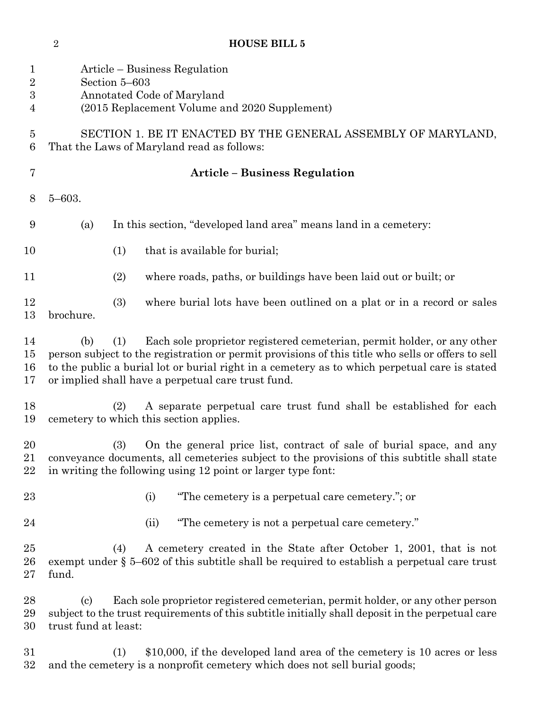Article – Business Regulation Section 5–603 Annotated Code of Maryland (2015 Replacement Volume and 2020 Supplement) SECTION 1. BE IT ENACTED BY THE GENERAL ASSEMBLY OF MARYLAND, That the Laws of Maryland read as follows: **Article – Business Regulation** 5–603. (a) In this section, "developed land area" means land in a cemetery: 10 (1) that is available for burial; (2) where roads, paths, or buildings have been laid out or built; or (3) where burial lots have been outlined on a plat or in a record or sales brochure. (b) (1) Each sole proprietor registered cemeterian, permit holder, or any other person subject to the registration or permit provisions of this title who sells or offers to sell to the public a burial lot or burial right in a cemetery as to which perpetual care is stated or implied shall have a perpetual care trust fund. (2) A separate perpetual care trust fund shall be established for each cemetery to which this section applies. (3) On the general price list, contract of sale of burial space, and any conveyance documents, all cemeteries subject to the provisions of this subtitle shall state in writing the following using 12 point or larger type font: (i) "The cemetery is a perpetual care cemetery."; or 24 (ii) "The cemetery is not a perpetual care cemetery." (4) A cemetery created in the State after October 1, 2001, that is not exempt under § 5–602 of this subtitle shall be required to establish a perpetual care trust fund. (c) Each sole proprietor registered cemeterian, permit holder, or any other person subject to the trust requirements of this subtitle initially shall deposit in the perpetual care trust fund at least: (1) \$10,000, if the developed land area of the cemetery is 10 acres or less and the cemetery is a nonprofit cemetery which does not sell burial goods;

**HOUSE BILL 5**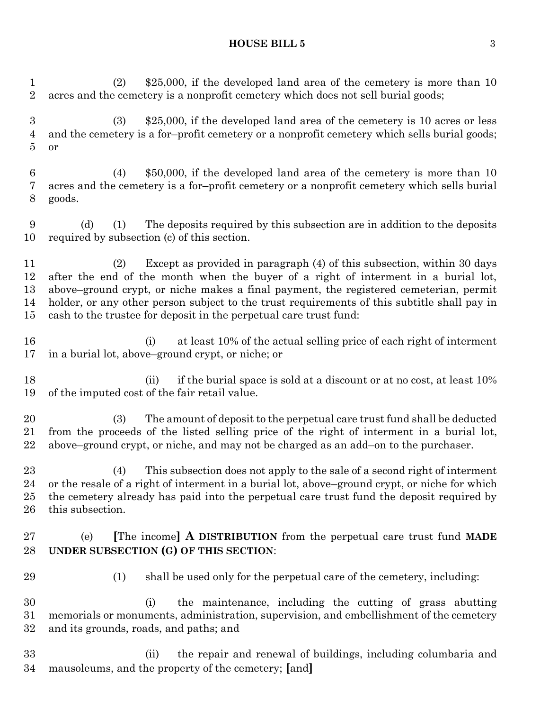#### **HOUSE BILL 5** 3

 (2) \$25,000, if the developed land area of the cemetery is more than 10 acres and the cemetery is a nonprofit cemetery which does not sell burial goods;

 (3) \$25,000, if the developed land area of the cemetery is 10 acres or less and the cemetery is a for–profit cemetery or a nonprofit cemetery which sells burial goods; or

 (4) \$50,000, if the developed land area of the cemetery is more than 10 acres and the cemetery is a for–profit cemetery or a nonprofit cemetery which sells burial goods.

 (d) (1) The deposits required by this subsection are in addition to the deposits required by subsection (c) of this section.

 (2) Except as provided in paragraph (4) of this subsection, within 30 days after the end of the month when the buyer of a right of interment in a burial lot, above–ground crypt, or niche makes a final payment, the registered cemeterian, permit holder, or any other person subject to the trust requirements of this subtitle shall pay in cash to the trustee for deposit in the perpetual care trust fund:

- (i) at least 10% of the actual selling price of each right of interment in a burial lot, above–ground crypt, or niche; or
- 18 (ii) if the burial space is sold at a discount or at no cost, at least 10% of the imputed cost of the fair retail value.

 (3) The amount of deposit to the perpetual care trust fund shall be deducted from the proceeds of the listed selling price of the right of interment in a burial lot, above–ground crypt, or niche, and may not be charged as an add–on to the purchaser.

 (4) This subsection does not apply to the sale of a second right of interment or the resale of a right of interment in a burial lot, above–ground crypt, or niche for which the cemetery already has paid into the perpetual care trust fund the deposit required by this subsection.

## (e) **[**The income**] A DISTRIBUTION** from the perpetual care trust fund **MADE UNDER SUBSECTION (G) OF THIS SECTION**:

(1) shall be used only for the perpetual care of the cemetery, including:

 (i) the maintenance, including the cutting of grass abutting memorials or monuments, administration, supervision, and embellishment of the cemetery and its grounds, roads, and paths; and

 (ii) the repair and renewal of buildings, including columbaria and mausoleums, and the property of the cemetery; **[**and**]**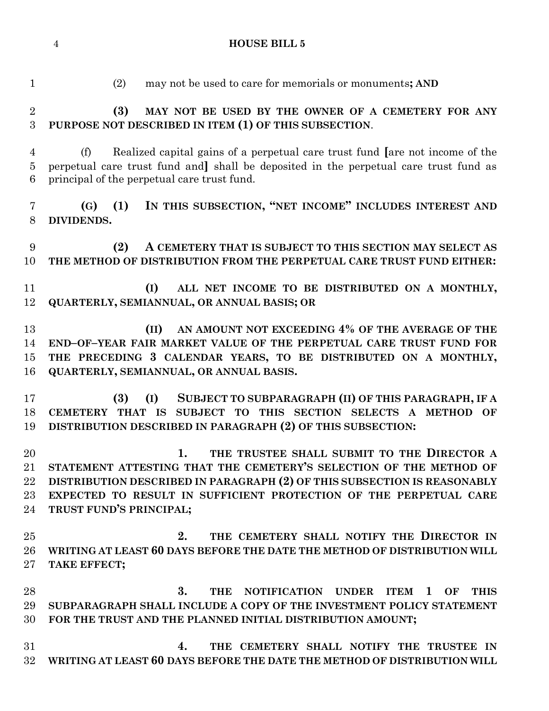**HOUSE BILL 5**

 (2) may not be used to care for memorials or monuments**; AND (3) MAY NOT BE USED BY THE OWNER OF A CEMETERY FOR ANY PURPOSE NOT DESCRIBED IN ITEM (1) OF THIS SUBSECTION**. (f) Realized capital gains of a perpetual care trust fund **[**are not income of the perpetual care trust fund and**]** shall be deposited in the perpetual care trust fund as principal of the perpetual care trust fund. **(G) (1) IN THIS SUBSECTION, "NET INCOME" INCLUDES INTEREST AND DIVIDENDS. (2) A CEMETERY THAT IS SUBJECT TO THIS SECTION MAY SELECT AS THE METHOD OF DISTRIBUTION FROM THE PERPETUAL CARE TRUST FUND EITHER: (I) ALL NET INCOME TO BE DISTRIBUTED ON A MONTHLY, QUARTERLY, SEMIANNUAL, OR ANNUAL BASIS; OR (II) AN AMOUNT NOT EXCEEDING 4% OF THE AVERAGE OF THE END–OF–YEAR FAIR MARKET VALUE OF THE PERPETUAL CARE TRUST FUND FOR THE PRECEDING 3 CALENDAR YEARS, TO BE DISTRIBUTED ON A MONTHLY, QUARTERLY, SEMIANNUAL, OR ANNUAL BASIS. (3) (I) SUBJECT TO SUBPARAGRAPH (II) OF THIS PARAGRAPH, IF A CEMETERY THAT IS SUBJECT TO THIS SECTION SELECTS A METHOD OF DISTRIBUTION DESCRIBED IN PARAGRAPH (2) OF THIS SUBSECTION: 1. THE TRUSTEE SHALL SUBMIT TO THE DIRECTOR A STATEMENT ATTESTING THAT THE CEMETERY'S SELECTION OF THE METHOD OF DISTRIBUTION DESCRIBED IN PARAGRAPH (2) OF THIS SUBSECTION IS REASONABLY EXPECTED TO RESULT IN SUFFICIENT PROTECTION OF THE PERPETUAL CARE TRUST FUND'S PRINCIPAL; 2. THE CEMETERY SHALL NOTIFY THE DIRECTOR IN WRITING AT LEAST 60 DAYS BEFORE THE DATE THE METHOD OF DISTRIBUTION WILL TAKE EFFECT; 3. THE NOTIFICATION UNDER ITEM 1 OF THIS SUBPARAGRAPH SHALL INCLUDE A COPY OF THE INVESTMENT POLICY STATEMENT FOR THE TRUST AND THE PLANNED INITIAL DISTRIBUTION AMOUNT; 4. THE CEMETERY SHALL NOTIFY THE TRUSTEE IN WRITING AT LEAST 60 DAYS BEFORE THE DATE THE METHOD OF DISTRIBUTION WILL**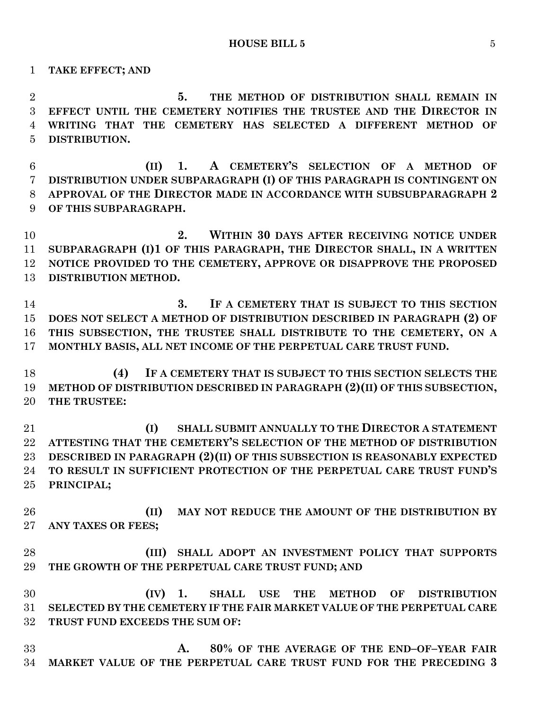**TAKE EFFECT; AND**

 **5. THE METHOD OF DISTRIBUTION SHALL REMAIN IN EFFECT UNTIL THE CEMETERY NOTIFIES THE TRUSTEE AND THE DIRECTOR IN WRITING THAT THE CEMETERY HAS SELECTED A DIFFERENT METHOD OF DISTRIBUTION.**

 **(II) 1. A CEMETERY'S SELECTION OF A METHOD OF DISTRIBUTION UNDER SUBPARAGRAPH (I) OF THIS PARAGRAPH IS CONTINGENT ON APPROVAL OF THE DIRECTOR MADE IN ACCORDANCE WITH SUBSUBPARAGRAPH 2 OF THIS SUBPARAGRAPH.**

 **2. WITHIN 30 DAYS AFTER RECEIVING NOTICE UNDER SUBPARAGRAPH (I)1 OF THIS PARAGRAPH, THE DIRECTOR SHALL, IN A WRITTEN NOTICE PROVIDED TO THE CEMETERY, APPROVE OR DISAPPROVE THE PROPOSED DISTRIBUTION METHOD.**

 **3. IF A CEMETERY THAT IS SUBJECT TO THIS SECTION DOES NOT SELECT A METHOD OF DISTRIBUTION DESCRIBED IN PARAGRAPH (2) OF THIS SUBSECTION, THE TRUSTEE SHALL DISTRIBUTE TO THE CEMETERY, ON A MONTHLY BASIS, ALL NET INCOME OF THE PERPETUAL CARE TRUST FUND.**

 **(4) IF A CEMETERY THAT IS SUBJECT TO THIS SECTION SELECTS THE METHOD OF DISTRIBUTION DESCRIBED IN PARAGRAPH (2)(II) OF THIS SUBSECTION, THE TRUSTEE:**

 **(I) SHALL SUBMIT ANNUALLY TO THE DIRECTOR A STATEMENT ATTESTING THAT THE CEMETERY'S SELECTION OF THE METHOD OF DISTRIBUTION DESCRIBED IN PARAGRAPH (2)(II) OF THIS SUBSECTION IS REASONABLY EXPECTED TO RESULT IN SUFFICIENT PROTECTION OF THE PERPETUAL CARE TRUST FUND'S PRINCIPAL;**

 **(II) MAY NOT REDUCE THE AMOUNT OF THE DISTRIBUTION BY ANY TAXES OR FEES;**

 **(III) SHALL ADOPT AN INVESTMENT POLICY THAT SUPPORTS THE GROWTH OF THE PERPETUAL CARE TRUST FUND; AND**

 **(IV) 1. SHALL USE THE METHOD OF DISTRIBUTION SELECTED BY THE CEMETERY IF THE FAIR MARKET VALUE OF THE PERPETUAL CARE TRUST FUND EXCEEDS THE SUM OF:**

 **A. 80% OF THE AVERAGE OF THE END–OF–YEAR FAIR MARKET VALUE OF THE PERPETUAL CARE TRUST FUND FOR THE PRECEDING 3**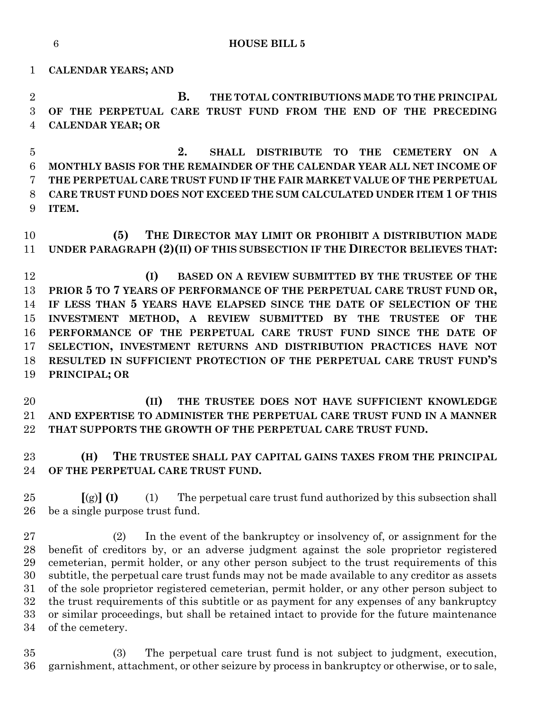**HOUSE BILL 5**

**CALENDAR YEARS; AND**

 **B. THE TOTAL CONTRIBUTIONS MADE TO THE PRINCIPAL OF THE PERPETUAL CARE TRUST FUND FROM THE END OF THE PRECEDING CALENDAR YEAR; OR**

 **2. SHALL DISTRIBUTE TO THE CEMETERY ON A MONTHLY BASIS FOR THE REMAINDER OF THE CALENDAR YEAR ALL NET INCOME OF THE PERPETUAL CARE TRUST FUND IF THE FAIR MARKET VALUE OF THE PERPETUAL CARE TRUST FUND DOES NOT EXCEED THE SUM CALCULATED UNDER ITEM 1 OF THIS ITEM.**

 **(5) THE DIRECTOR MAY LIMIT OR PROHIBIT A DISTRIBUTION MADE UNDER PARAGRAPH (2)(II) OF THIS SUBSECTION IF THE DIRECTOR BELIEVES THAT:**

 **(I) BASED ON A REVIEW SUBMITTED BY THE TRUSTEE OF THE PRIOR 5 TO 7 YEARS OF PERFORMANCE OF THE PERPETUAL CARE TRUST FUND OR, IF LESS THAN 5 YEARS HAVE ELAPSED SINCE THE DATE OF SELECTION OF THE INVESTMENT METHOD, A REVIEW SUBMITTED BY THE TRUSTEE OF THE PERFORMANCE OF THE PERPETUAL CARE TRUST FUND SINCE THE DATE OF SELECTION, INVESTMENT RETURNS AND DISTRIBUTION PRACTICES HAVE NOT RESULTED IN SUFFICIENT PROTECTION OF THE PERPETUAL CARE TRUST FUND'S PRINCIPAL; OR** 

 **(II) THE TRUSTEE DOES NOT HAVE SUFFICIENT KNOWLEDGE AND EXPERTISE TO ADMINISTER THE PERPETUAL CARE TRUST FUND IN A MANNER THAT SUPPORTS THE GROWTH OF THE PERPETUAL CARE TRUST FUND.**

 **(H) THE TRUSTEE SHALL PAY CAPITAL GAINS TAXES FROM THE PRINCIPAL OF THE PERPETUAL CARE TRUST FUND.**

 **[**(g)**] (I)** (1) The perpetual care trust fund authorized by this subsection shall be a single purpose trust fund.

 (2) In the event of the bankruptcy or insolvency of, or assignment for the benefit of creditors by, or an adverse judgment against the sole proprietor registered cemeterian, permit holder, or any other person subject to the trust requirements of this subtitle, the perpetual care trust funds may not be made available to any creditor as assets of the sole proprietor registered cemeterian, permit holder, or any other person subject to the trust requirements of this subtitle or as payment for any expenses of any bankruptcy or similar proceedings, but shall be retained intact to provide for the future maintenance of the cemetery.

 (3) The perpetual care trust fund is not subject to judgment, execution, garnishment, attachment, or other seizure by process in bankruptcy or otherwise, or to sale,